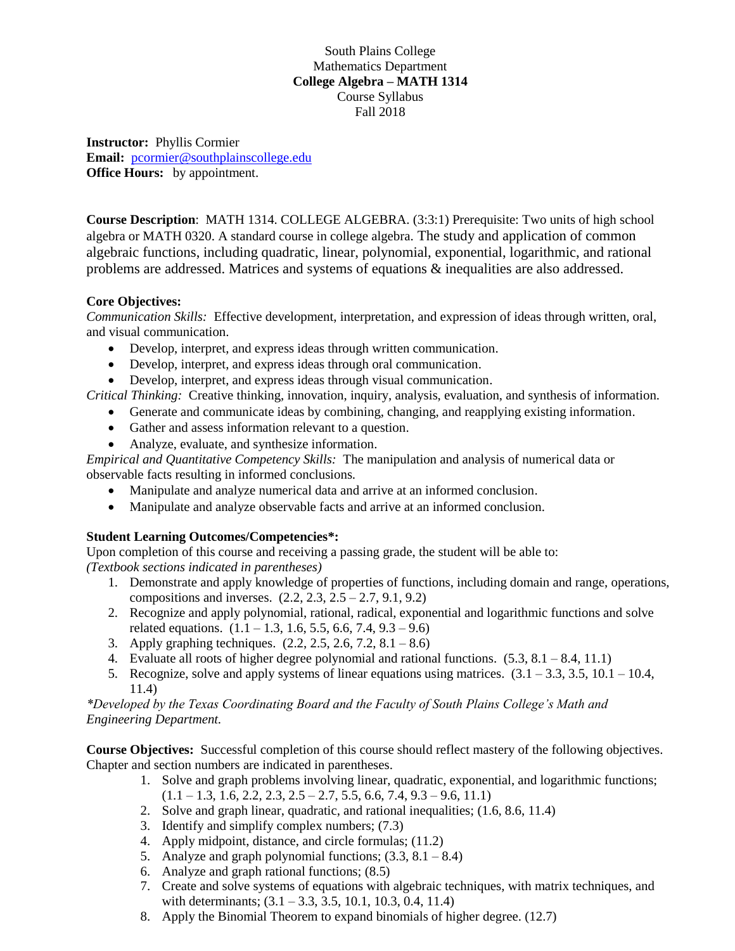South Plains College Mathematics Department **College Algebra – MATH 1314** Course Syllabus Fall 2018

**Instructor:** Phyllis Cormier **Email:** [pcormier@southplainscollege.edu](mailto:pcormier@southplainscollege.edu) **Office Hours:** by appointment.

**Course Description**: MATH 1314. COLLEGE ALGEBRA. (3:3:1) Prerequisite: Two units of high school algebra or MATH 0320. A standard course in college algebra. The study and application of common algebraic functions, including quadratic, linear, polynomial, exponential, logarithmic, and rational problems are addressed. Matrices and systems of equations & inequalities are also addressed.

## **Core Objectives:**

*Communication Skills:* Effective development, interpretation, and expression of ideas through written, oral, and visual communication.

- Develop, interpret, and express ideas through written communication.
- Develop, interpret, and express ideas through oral communication.
- Develop, interpret, and express ideas through visual communication.

*Critical Thinking:* Creative thinking, innovation, inquiry, analysis, evaluation, and synthesis of information.

- Generate and communicate ideas by combining, changing, and reapplying existing information.
- Gather and assess information relevant to a question.
- Analyze, evaluate, and synthesize information.

*Empirical and Quantitative Competency Skills:* The manipulation and analysis of numerical data or observable facts resulting in informed conclusions.

- Manipulate and analyze numerical data and arrive at an informed conclusion.
- Manipulate and analyze observable facts and arrive at an informed conclusion.

## **Student Learning Outcomes/Competencies\*:**

Upon completion of this course and receiving a passing grade, the student will be able to: *(Textbook sections indicated in parentheses)*

- 1. Demonstrate and apply knowledge of properties of functions, including domain and range, operations, compositions and inverses.  $(2.2, 2.3, 2.5 - 2.7, 9.1, 9.2)$
- 2. Recognize and apply polynomial, rational, radical, exponential and logarithmic functions and solve related equations.  $(1.1 - 1.3, 1.6, 5.5, 6.6, 7.4, 9.3 - 9.6)$
- 3. Apply graphing techniques. (2.2, 2.5, 2.6, 7.2, 8.1 8.6)
- 4. Evaluate all roots of higher degree polynomial and rational functions.  $(5.3, 8.1 8.4, 11.1)$
- 5. Recognize, solve and apply systems of linear equations using matrices.  $(3.1 3.3, 3.5, 10.1 10.4,$ 11.4)

## *\*Developed by the Texas Coordinating Board and the Faculty of South Plains College's Math and Engineering Department.*

**Course Objectives:** Successful completion of this course should reflect mastery of the following objectives. Chapter and section numbers are indicated in parentheses.

- 1. Solve and graph problems involving linear, quadratic, exponential, and logarithmic functions;  $(1.1 - 1.3, 1.6, 2.2, 2.3, 2.5 - 2.7, 5.5, 6.6, 7.4, 9.3 - 9.6, 11.1)$
- 2. Solve and graph linear, quadratic, and rational inequalities; (1.6, 8.6, 11.4)
- 3. Identify and simplify complex numbers; (7.3)
- 4. Apply midpoint, distance, and circle formulas; (11.2)
- 5. Analyze and graph polynomial functions;  $(3.3, 8.1 8.4)$
- 6. Analyze and graph rational functions; (8.5)
- 7. Create and solve systems of equations with algebraic techniques, with matrix techniques, and with determinants;  $(3.1 - 3.3, 3.5, 10.1, 10.3, 0.4, 11.4)$
- 8. Apply the Binomial Theorem to expand binomials of higher degree. (12.7)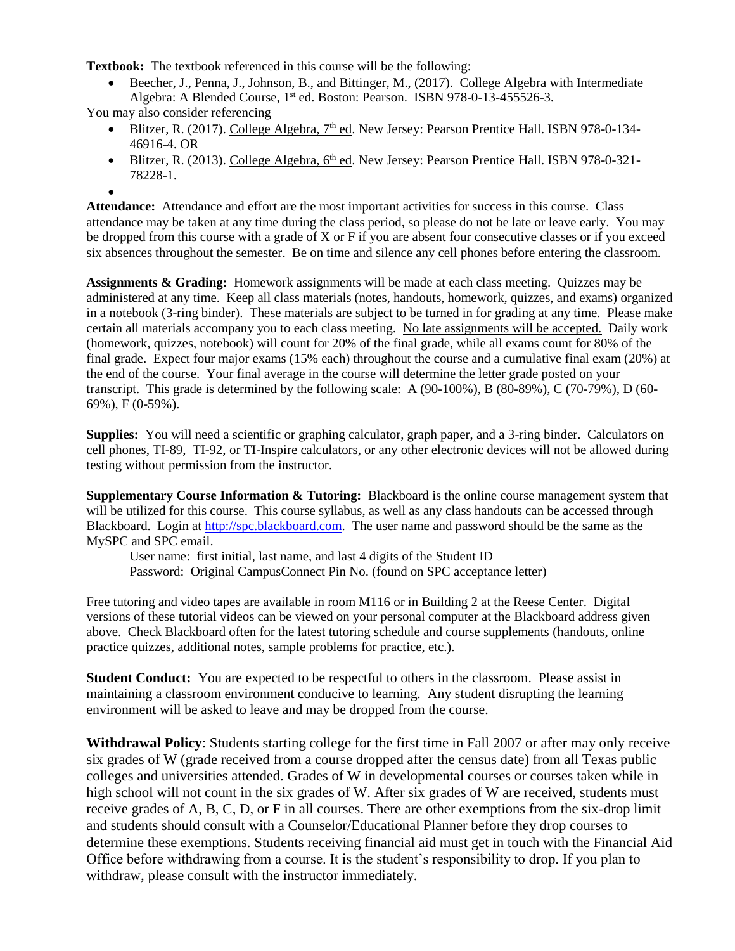**Textbook:** The textbook referenced in this course will be the following:

• Beecher, J., Penna, J., Johnson, B., and Bittinger, M., (2017). College Algebra with Intermediate Algebra: A Blended Course, 1<sup>st</sup> ed. Boston: Pearson. ISBN 978-0-13-455526-3.

You may also consider referencing

- Blitzer, R. (2017). College Algebra,  $7<sup>th</sup>$  ed. New Jersey: Pearson Prentice Hall. ISBN 978-0-134-46916-4. OR
- Blitzer, R. (2013). College Algebra, 6<sup>th</sup> ed. New Jersey: Pearson Prentice Hall. ISBN 978-0-321-78228-1.

• **Attendance:** Attendance and effort are the most important activities for success in this course. Class attendance may be taken at any time during the class period, so please do not be late or leave early. You may be dropped from this course with a grade of X or F if you are absent four consecutive classes or if you exceed six absences throughout the semester. Be on time and silence any cell phones before entering the classroom.

**Assignments & Grading:** Homework assignments will be made at each class meeting. Quizzes may be administered at any time. Keep all class materials (notes, handouts, homework, quizzes, and exams) organized in a notebook (3-ring binder). These materials are subject to be turned in for grading at any time. Please make certain all materials accompany you to each class meeting. No late assignments will be accepted. Daily work (homework, quizzes, notebook) will count for 20% of the final grade, while all exams count for 80% of the final grade. Expect four major exams (15% each) throughout the course and a cumulative final exam (20%) at the end of the course. Your final average in the course will determine the letter grade posted on your transcript. This grade is determined by the following scale: A (90-100%), B (80-89%), C (70-79%), D (60- 69%), F (0-59%).

**Supplies:** You will need a scientific or graphing calculator, graph paper, and a 3-ring binder. Calculators on cell phones, TI-89, TI-92, or TI-Inspire calculators, or any other electronic devices will not be allowed during testing without permission from the instructor.

**Supplementary Course Information & Tutoring:** Blackboard is the online course management system that will be utilized for this course. This course syllabus, as well as any class handouts can be accessed through Blackboard. Login at [http://spc.blackboard.com.](http://spc.blackboard.com/) The user name and password should be the same as the MySPC and SPC email.

User name: first initial, last name, and last 4 digits of the Student ID

Password: Original CampusConnect Pin No. (found on SPC acceptance letter)

Free tutoring and video tapes are available in room M116 or in Building 2 at the Reese Center. Digital versions of these tutorial videos can be viewed on your personal computer at the Blackboard address given above. Check Blackboard often for the latest tutoring schedule and course supplements (handouts, online practice quizzes, additional notes, sample problems for practice, etc.).

**Student Conduct:** You are expected to be respectful to others in the classroom. Please assist in maintaining a classroom environment conducive to learning. Any student disrupting the learning environment will be asked to leave and may be dropped from the course.

**Withdrawal Policy**: Students starting college for the first time in Fall 2007 or after may only receive six grades of W (grade received from a course dropped after the census date) from all Texas public colleges and universities attended. Grades of W in developmental courses or courses taken while in high school will not count in the six grades of W. After six grades of W are received, students must receive grades of A, B, C, D, or F in all courses. There are other exemptions from the six-drop limit and students should consult with a Counselor/Educational Planner before they drop courses to determine these exemptions. Students receiving financial aid must get in touch with the Financial Aid Office before withdrawing from a course. It is the student's responsibility to drop. If you plan to withdraw, please consult with the instructor immediately.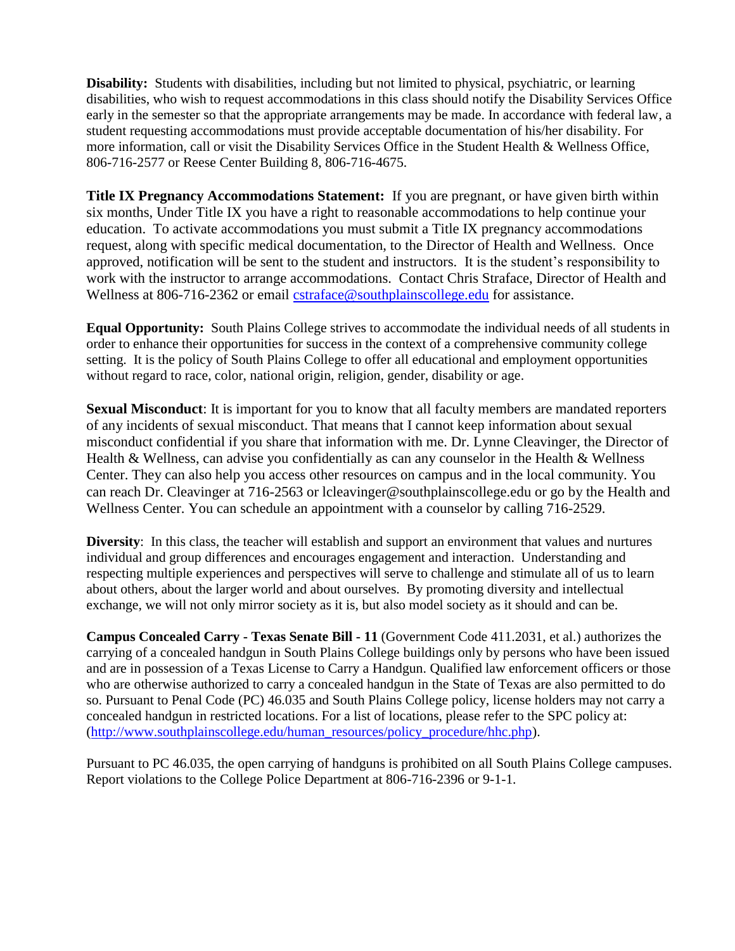**Disability:** Students with disabilities, including but not limited to physical, psychiatric, or learning disabilities, who wish to request accommodations in this class should notify the Disability Services Office early in the semester so that the appropriate arrangements may be made. In accordance with federal law, a student requesting accommodations must provide acceptable documentation of his/her disability. For more information, call or visit the Disability Services Office in the Student Health & Wellness Office, 806-716-2577 or Reese Center Building 8, 806-716-4675.

**Title IX Pregnancy Accommodations Statement:** If you are pregnant, or have given birth within six months, Under Title IX you have a right to reasonable accommodations to help continue your education. To activate accommodations you must submit a Title IX pregnancy accommodations request, along with specific medical documentation, to the Director of Health and Wellness. Once approved, notification will be sent to the student and instructors. It is the student's responsibility to work with the instructor to arrange accommodations. Contact Chris Straface, Director of Health and Wellness at 806-716-2362 or email **[cstraface@southplainscollege.edu](mailto:cstraface@southplainscollege.edu)** for assistance.

**Equal Opportunity:** South Plains College strives to accommodate the individual needs of all students in order to enhance their opportunities for success in the context of a comprehensive community college setting. It is the policy of South Plains College to offer all educational and employment opportunities without regard to race, color, national origin, religion, gender, disability or age.

**Sexual Misconduct**: It is important for you to know that all faculty members are mandated reporters of any incidents of sexual misconduct. That means that I cannot keep information about sexual misconduct confidential if you share that information with me. Dr. Lynne Cleavinger, the Director of Health & Wellness, can advise you confidentially as can any counselor in the Health & Wellness Center. They can also help you access other resources on campus and in the local community. You can reach Dr. Cleavinger at 716-2563 or lcleavinger@southplainscollege.edu or go by the Health and Wellness Center. You can schedule an appointment with a counselor by calling 716-2529.

**Diversity**: In this class, the teacher will establish and support an environment that values and nurtures individual and group differences and encourages engagement and interaction. Understanding and respecting multiple experiences and perspectives will serve to challenge and stimulate all of us to learn about others, about the larger world and about ourselves. By promoting diversity and intellectual exchange, we will not only mirror society as it is, but also model society as it should and can be.

**Campus Concealed Carry - Texas Senate Bill - 11** (Government Code 411.2031, et al.) authorizes the carrying of a concealed handgun in South Plains College buildings only by persons who have been issued and are in possession of a Texas License to Carry a Handgun. Qualified law enforcement officers or those who are otherwise authorized to carry a concealed handgun in the State of Texas are also permitted to do so. Pursuant to Penal Code (PC) 46.035 and South Plains College policy, license holders may not carry a concealed handgun in restricted locations. For a list of locations, please refer to the SPC policy at: [\(http://www.southplainscollege.edu/human\\_resources/policy\\_procedure/hhc.php\)](http://www.southplainscollege.edu/human_resources/policy_procedure/hhc.php).

Pursuant to PC 46.035, the open carrying of handguns is prohibited on all South Plains College campuses. Report violations to the College Police Department at 806-716-2396 or 9-1-1.